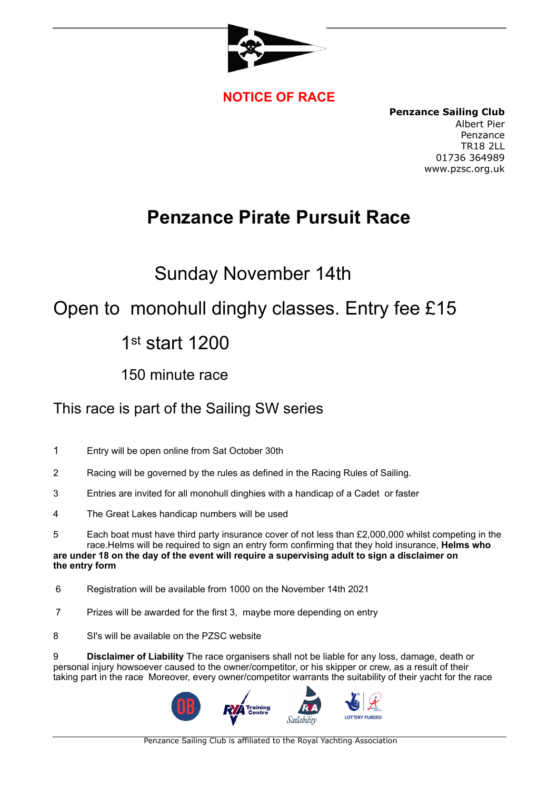

#### **NOTICE OF RACE**

**Penzance Sailing Club** Albert Pier Penzance TR18 2LL 01736 364989 www.pzsc.org.uk

# **Penzance Pirate Pursuit Race**

## Sunday November 14th

## Open to monohull dinghy classes. Entry fee £15

## 1st start 1200

#### 150 minute race

#### This race is part of the Sailing SW series

- 1 Entry will be open online from Sat October 30th
- 2 Racing will be governed by the rules as defined in the Racing Rules of Sailing.
- 3 Entries are invited for all monohull dinghies with a handicap of a Cadet or faster
- 4 The Great Lakes handicap numbers will be used
- 5 Each boat must have third party insurance cover of not less than £2,000,000 whilst competing in the race.Helms will be required to sign an entry form confirming that they hold insurance, **Helms who**

#### **are under 18 on the day of the event will require a supervising adult to sign a disclaimer on the entry form**

- 6 Registration will be available from 1000 on the November 14th 2021
- 7 Prizes will be awarded for the first 3, maybe more depending on entry
- 8 SI's will be available on the PZSC website

9 **Disclaimer of Liability** The race organisers shall not be liable for any loss, damage, death or personal injury howsoever caused to the owner/competitor, or his skipper or crew, as a result of their taking part in the race Moreover, every owner/competitor warrants the suitability of their yacht for the race